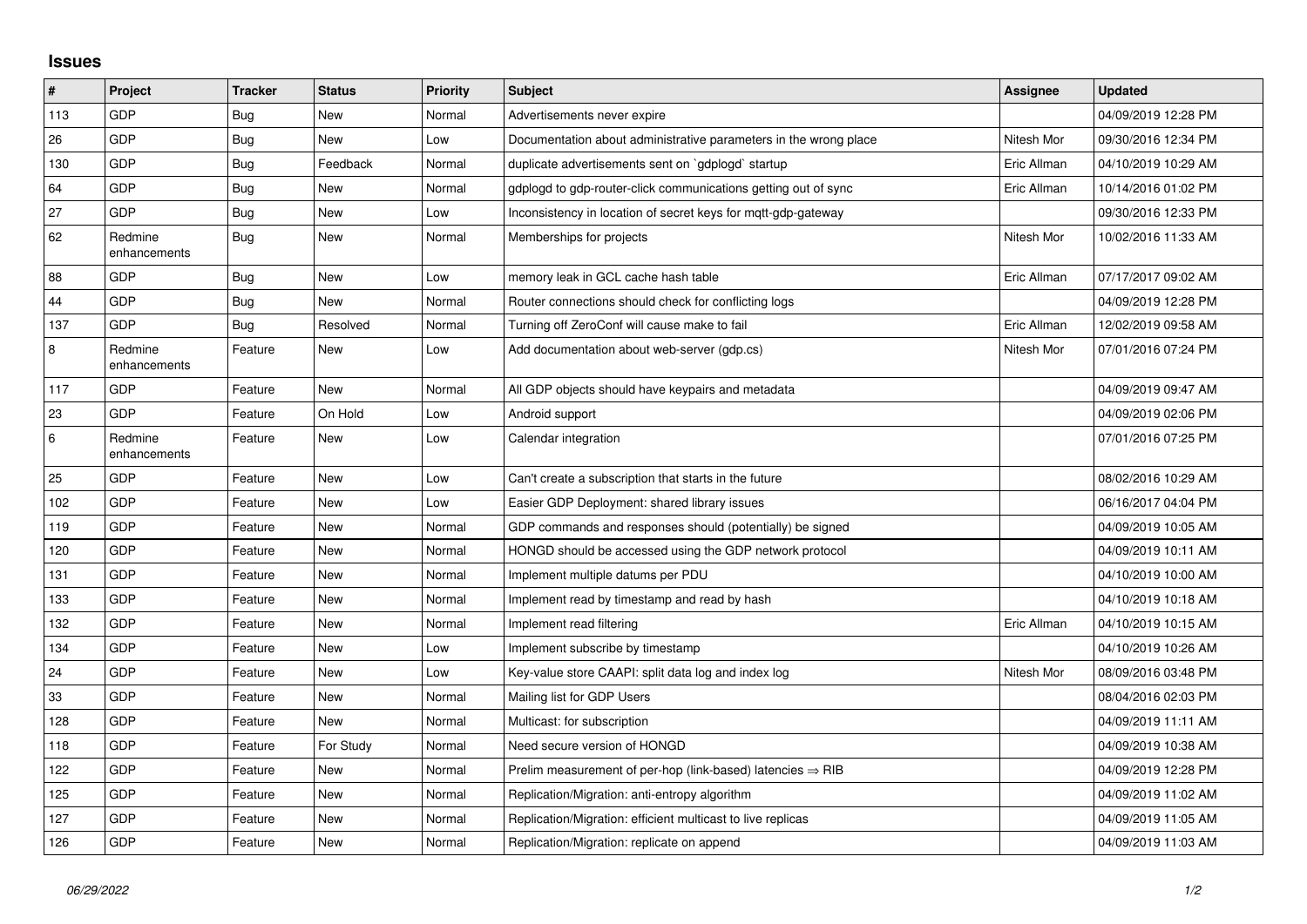## **Issues**

| $\sharp$ | <b>Project</b>          | <b>Tracker</b> | <b>Status</b> | <b>Priority</b> | <b>Subject</b>                                                         | Assignee    | <b>Updated</b>      |
|----------|-------------------------|----------------|---------------|-----------------|------------------------------------------------------------------------|-------------|---------------------|
| 113      | GDP                     | Bug            | <b>New</b>    | Normal          | Advertisements never expire                                            |             | 04/09/2019 12:28 PM |
| 26       | <b>GDP</b>              | Bug            | <b>New</b>    | Low             | Documentation about administrative parameters in the wrong place       | Nitesh Mor  | 09/30/2016 12:34 PM |
| 130      | GDP                     | Bug            | Feedback      | Normal          | duplicate advertisements sent on `gdplogd` startup                     | Eric Allman | 04/10/2019 10:29 AM |
| 64       | GDP                     | Bug            | <b>New</b>    | Normal          | gdplogd to gdp-router-click communications getting out of sync         | Eric Allman | 10/14/2016 01:02 PM |
| 27       | <b>GDP</b>              | Bug            | <b>New</b>    | Low             | Inconsistency in location of secret keys for mgtt-gdp-gateway          |             | 09/30/2016 12:33 PM |
| 62       | Redmine<br>enhancements | <b>Bug</b>     | <b>New</b>    | Normal          | Memberships for projects                                               | Nitesh Mor  | 10/02/2016 11:33 AM |
| 88       | <b>GDP</b>              | Bug            | <b>New</b>    | Low             | memory leak in GCL cache hash table                                    | Eric Allman | 07/17/2017 09:02 AM |
| 44       | GDP                     | Bug            | <b>New</b>    | Normal          | Router connections should check for conflicting logs                   |             | 04/09/2019 12:28 PM |
| 137      | <b>GDP</b>              | <b>Bug</b>     | Resolved      | Normal          | Turning off ZeroConf will cause make to fail                           | Eric Allman | 12/02/2019 09:58 AM |
| $\,8\,$  | Redmine<br>enhancements | Feature        | <b>New</b>    | Low             | Add documentation about web-server (gdp.cs)                            | Nitesh Mor  | 07/01/2016 07:24 PM |
| 117      | GDP                     | Feature        | New           | Normal          | All GDP objects should have keypairs and metadata                      |             | 04/09/2019 09:47 AM |
| 23       | <b>GDP</b>              | Feature        | On Hold       | Low             | Android support                                                        |             | 04/09/2019 02:06 PM |
| 6        | Redmine<br>enhancements | Feature        | <b>New</b>    | Low             | Calendar integration                                                   |             | 07/01/2016 07:25 PM |
| 25       | <b>GDP</b>              | Feature        | <b>New</b>    | Low             | Can't create a subscription that starts in the future                  |             | 08/02/2016 10:29 AM |
| 102      | GDP                     | Feature        | <b>New</b>    | Low             | Easier GDP Deployment: shared library issues                           |             | 06/16/2017 04:04 PM |
| 119      | <b>GDP</b>              | Feature        | <b>New</b>    | Normal          | GDP commands and responses should (potentially) be signed              |             | 04/09/2019 10:05 AM |
| 120      | GDP                     | Feature        | <b>New</b>    | Normal          | HONGD should be accessed using the GDP network protocol                |             | 04/09/2019 10:11 AM |
| 131      | GDP                     | Feature        | New           | Normal          | Implement multiple datums per PDU                                      |             | 04/10/2019 10:00 AM |
| 133      | GDP                     | Feature        | <b>New</b>    | Normal          | Implement read by timestamp and read by hash                           |             | 04/10/2019 10:18 AM |
| 132      | <b>GDP</b>              | Feature        | <b>New</b>    | Normal          | Implement read filtering                                               | Eric Allman | 04/10/2019 10:15 AM |
| 134      | GDP                     | Feature        | <b>New</b>    | Low             | Implement subscribe by timestamp                                       |             | 04/10/2019 10:26 AM |
| 24       | GDP                     | Feature        | <b>New</b>    | Low             | Key-value store CAAPI: split data log and index log                    | Nitesh Mor  | 08/09/2016 03:48 PM |
| 33       | <b>GDP</b>              | Feature        | <b>New</b>    | Normal          | Mailing list for GDP Users                                             |             | 08/04/2016 02:03 PM |
| 128      | <b>GDP</b>              | Feature        | New           | Normal          | Multicast: for subscription                                            |             | 04/09/2019 11:11 AM |
| 118      | GDP                     | Feature        | For Study     | Normal          | Need secure version of HONGD                                           |             | 04/09/2019 10:38 AM |
| 122      | GDP                     | Feature        | New           | Normal          | Prelim measurement of per-hop (link-based) latencies $\Rightarrow$ RIB |             | 04/09/2019 12:28 PM |
| 125      | <b>GDP</b>              | Feature        | New           | Normal          | Replication/Migration: anti-entropy algorithm                          |             | 04/09/2019 11:02 AM |
| 127      | GDP                     | Feature        | New           | Normal          | Replication/Migration: efficient multicast to live replicas            |             | 04/09/2019 11:05 AM |
| 126      | GDP                     | Feature        | <b>New</b>    | Normal          | Replication/Migration: replicate on append                             |             | 04/09/2019 11:03 AM |